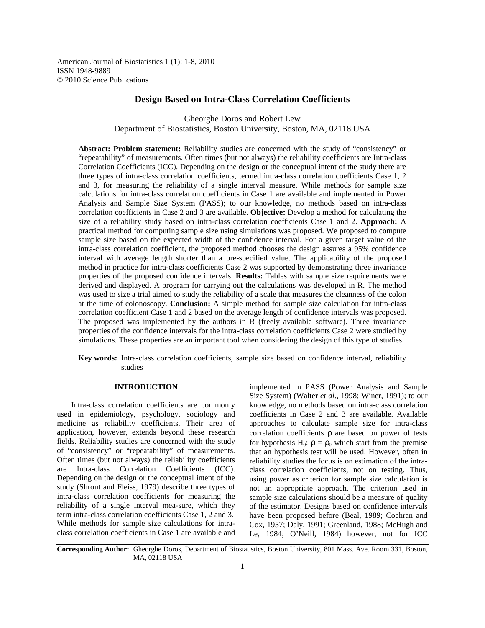American Journal of Biostatistics 1 (1): 1-8, 2010 ISSN 1948-9889 © 2010 Science Publications

# **Design Based on Intra-Class Correlation Coefficients**

Gheorghe Doros and Robert Lew Department of Biostatistics, Boston University, Boston, MA, 02118 USA

**Abstract: Problem statement:** Reliability studies are concerned with the study of "consistency" or "repeatability" of measurements. Often times (but not always) the reliability coefficients are Intra-class Correlation Coefficients (ICC). Depending on the design or the conceptual intent of the study there are three types of intra-class correlation coefficients, termed intra-class correlation coefficients Case 1, 2 and 3, for measuring the reliability of a single interval measure. While methods for sample size calculations for intra-class correlation coefficients in Case 1 are available and implemented in Power Analysis and Sample Size System (PASS); to our knowledge, no methods based on intra-class correlation coefficients in Case 2 and 3 are available. **Objective:** Develop a method for calculating the size of a reliability study based on intra-class correlation coefficients Case 1 and 2. **Approach:** A practical method for computing sample size using simulations was proposed. We proposed to compute sample size based on the expected width of the confidence interval. For a given target value of the intra-class correlation coefficient, the proposed method chooses the design assures a 95% confidence interval with average length shorter than a pre-specified value. The applicability of the proposed method in practice for intra-class coefficients Case 2 was supported by demonstrating three invariance properties of the proposed confidence intervals. **Results:** Tables with sample size requirements were derived and displayed. A program for carrying out the calculations was developed in R. The method was used to size a trial aimed to study the reliability of a scale that measures the cleanness of the colon at the time of colonoscopy. **Conclusion:** A simple method for sample size calculation for intra-class correlation coefficient Case 1 and 2 based on the average length of confidence intervals was proposed. The proposed was implemented by the authors in R (freely available software). Three invariance properties of the confidence intervals for the intra-class correlation coefficients Case 2 were studied by simulations. These properties are an important tool when considering the design of this type of studies.

**Key words:** Intra-class correlation coefficients, sample size based on confidence interval, reliability studies

## **INTRODUCTION**

 Intra-class correlation coefficients are commonly used in epidemiology, psychology, sociology and medicine as reliability coefficients. Their area of application, however, extends beyond these research fields. Reliability studies are concerned with the study of "consistency" or "repeatability" of measurements. Often times (but not always) the reliability coefficients are Intra-class Correlation Coefficients (ICC). Depending on the design or the conceptual intent of the study (Shrout and Fleiss, 1979) describe three types of intra-class correlation coefficients for measuring the reliability of a single interval mea-sure, which they term intra-class correlation coefficients Case 1, 2 and 3. While methods for sample size calculations for intraclass correlation coefficients in Case 1 are available and

implemented in PASS (Power Analysis and Sample Size System) (Walter *et al*., 1998; Winer, 1991); to our knowledge, no methods based on intra-class correlation coefficients in Case 2 and 3 are available. Available approaches to calculate sample size for intra-class correlation coefficients ρ are based on power of tests for hypothesis H<sub>0</sub>:  $\rho = \rho_0$  which start from the premise that an hypothesis test will be used. However, often in reliability studies the focus is on estimation of the intraclass correlation coefficients, not on testing. Thus, using power as criterion for sample size calculation is not an appropriate approach. The criterion used in sample size calculations should be a measure of quality of the estimator. Designs based on confidence intervals have been proposed before (Beal, 1989; Cochran and Cox, 1957; Daly, 1991; Greenland, 1988; McHugh and Le, 1984; O'Neill, 1984) however, not for ICC

**Corresponding Author:** Gheorghe Doros, Department of Biostatistics, Boston University, 801 Mass. Ave. Room 331, Boston, MA, 02118 USA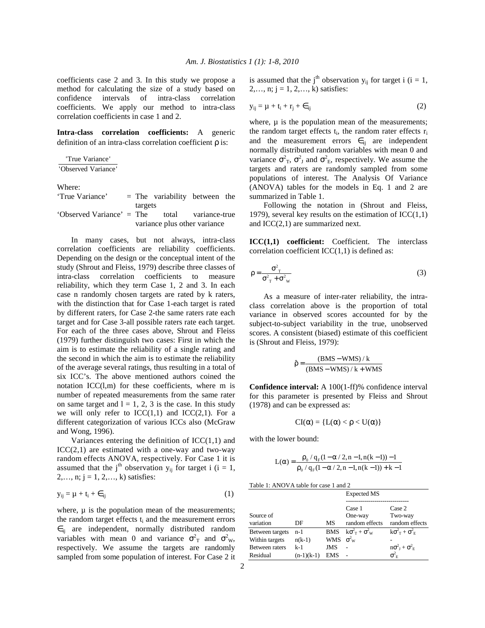coefficients case 2 and 3. In this study we propose a method for calculating the size of a study based on confidence intervals of intra-class correlation coefficients. We apply our method to intra-class correlation coefficients in case 1 and 2.

**Intra-class correlation coefficients:** A generic definition of an intra-class correlation coefficient ρ is:

'True Variance' 'Observed Variance'

Where:

| 'True Variance'           |                              | $=$ The variability between the |                     |  |
|---------------------------|------------------------------|---------------------------------|---------------------|--|
|                           | targets                      |                                 |                     |  |
| 'Observed Variance' = The |                              |                                 | total variance-true |  |
|                           | variance plus other variance |                                 |                     |  |

 In many cases, but not always, intra-class correlation coefficients are reliability coefficients. Depending on the design or the conceptual intent of the study (Shrout and Fleiss, 1979) describe three classes of intra-class correlation coefficients to measure reliability, which they term Case 1, 2 and 3. In each case n randomly chosen targets are rated by k raters, with the distinction that for Case 1-each target is rated by different raters, for Case 2-the same raters rate each target and for Case 3-all possible raters rate each target. For each of the three cases above, Shrout and Fleiss (1979) further distinguish two cases: First in which the aim is to estimate the reliability of a single rating and the second in which the aim is to estimate the reliability of the average several ratings, thus resulting in a total of six ICC's. The above mentioned authors coined the notation ICC(l,m) for these coefficients, where m is number of repeated measurements from the same rater on same target and  $l = 1, 2, 3$  is the case. In this study we will only refer to  $ICC(1,1)$  and  $ICC(2,1)$ . For a different categorization of various ICCs also (McGraw and Wong, 1996).

Variances entering the definition of  $ICC(1,1)$  and  $ICC(2,1)$  are estimated with a one-way and two-way random effects ANOVA, respectively. For Case 1 it is assumed that the j<sup>th</sup> observation  $y_{ij}$  for target i (i = 1,  $2,..., n; j = 1, 2,..., k$ ) satisfies:

$$
y_{ij} = \mu + t_i + \epsilon_{ij} \tag{1}
$$

where,  $\mu$  is the population mean of the measurements; the random target effects  $t_i$  and the measurement errors  $\epsilon_{ii}$  are independent, normally distributed random variables with mean 0 and variance  $\sigma_T^2$  and  $\sigma_{\text{w}}^2$ , respectively. We assume the targets are randomly sampled from some population of interest. For Case 2 it

is assumed that the j<sup>th</sup> observation  $y_{ii}$  for target i (i = 1,  $2,..., n; j = 1, 2,..., k$ ) satisfies:

$$
y_{ij} = \mu + t_i + r_j + \epsilon_{ij} \tag{2}
$$

where,  $\mu$  is the population mean of the measurements; the random target effects  $t_i$ , the random rater effects  $r_i$ and the measurement errors  $\epsilon_{ij}$  are independent normally distributed random variables with mean 0 and variance  $\sigma_{\text{T}}^2$ ,  $\sigma_{\text{J}}^2$  and  $\sigma_{\text{E}}^2$ , respectively. We assume the targets and raters are randomly sampled from some populations of interest. The Analysis Of Variance (ANOVA) tables for the models in Eq. 1 and 2 are summarized in Table 1.

 Following the notation in (Shrout and Fleiss, 1979), several key results on the estimation of  $\text{ICC}(1,1)$ and ICC(2,1) are summarized next.

**ICC(1,1) coefficient:** Coefficient. The interclass correlation coefficient  $ICC(1,1)$  is defined as:

$$
\rho = \frac{\sigma_{\rm T}^2}{\sigma_{\rm T}^2 + \sigma_{\rm w}^2} \tag{3}
$$

 As a measure of inter-rater reliability, the intraclass correlation above is the proportion of total variance in observed scores accounted for by the subject-to-subject variability in the true, unobserved scores. A consistent (biased) estimate of this coefficient is (Shrout and Fleiss, 1979):

$$
\hat{\rho} = \frac{(BMS - WMS) / k}{(BMS - WMS) / k + WMS}
$$

**Confidence interval:** A 100(1-ff)% confidence interval for this parameter is presented by Fleiss and Shrout (1978) and can be expressed as:

$$
CI(\alpha) = \{L(\alpha) < \rho < U(\alpha)\}
$$

with the lower bound:

$$
L(\alpha) = \frac{\rho_0 / q_F(1 - \alpha / 2, n - 1, n(k - 1)) - 1}{\rho_0 / q_F(1 - \alpha / 2, n - 1, n(k - 1)) + k - 1}
$$

| Table 1: ANOVA table for case 1 and 2 |  |
|---------------------------------------|--|
|---------------------------------------|--|

|                       |              |                  | <b>Expected MS</b>         |                                                    |
|-----------------------|--------------|------------------|----------------------------|----------------------------------------------------|
| Source of             |              |                  | Case 1<br>One-way          | Case 2<br>Two-way                                  |
| variation             | DF           | <b>MS</b>        | random effects             | random effects                                     |
| Between targets       | n-1          |                  | BMS $k\sigma^2 + \sigma^2$ | $k\sigma_{\rm T}^2 + \sigma_{\rm E}^2$             |
| Within targets        | $n(k-1)$     | WMS $\sigma_w^2$ |                            |                                                    |
| <b>Between</b> raters | $k-1$        | JMS              |                            | $n\sigma^2$ <sub>I</sub> + $\sigma^2$ <sub>E</sub> |
| Residual              | $(n-1)(k-1)$ | <b>EMS</b>       |                            | $\sigma^2$ <sub>E</sub>                            |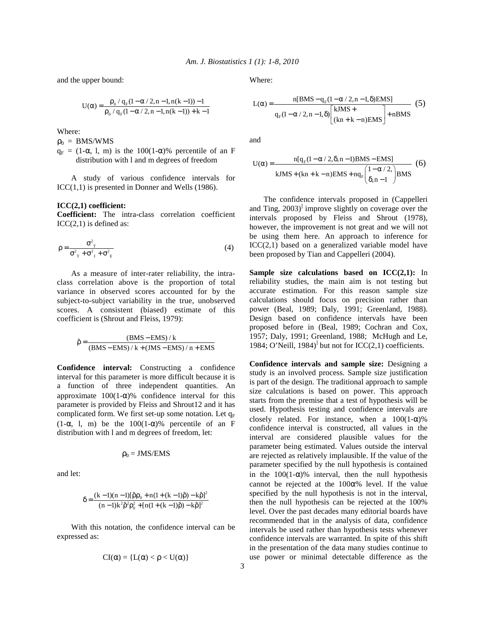and the upper bound:

$$
U(\alpha) = \frac{\rho_0 / q_F (1 - \alpha / 2, n - 1, n(k - 1)) - 1}{\rho_0 / q_F (1 - \alpha / 2, n - 1, n(k - 1)) + k - 1}
$$

Where:

 $\rho_0 = BMS/WMS$ 

 $q_F = (1-\alpha, 1, m)$  is the 100(1- $\alpha$ )% percentile of an F distribution with l and m degrees of freedom

 A study of various confidence intervals for ICC(1,1) is presented in Donner and Wells (1986).

### **ICC(2,1) coefficient:**

**Coefficient:** The intra-class correlation coefficient  $ICC(2,1)$  is defined as:

$$
\rho = \frac{\sigma_{\rm T}^2}{\sigma_{\rm T}^2 + \sigma_{\rm J}^2 + \sigma_{\rm E}^2}
$$
 (4)

 As a measure of inter-rater reliability, the intraclass correlation above is the proportion of total variance in observed scores accounted for by the subject-to-subject variability in the true, unobserved scores. A consistent (biased) estimate of this coefficient is (Shrout and Fleiss, 1979):

$$
\hat{\rho} = \frac{(BMS - EMS)/k}{(BMS - EMS)/k + (JMS - EMS)/n + EMS}
$$

**Confidence interval:** Constructing a confidence interval for this parameter is more difficult because it is a function of three independent quantities. An approximate  $100(1-\alpha)$ % confidence interval for this parameter is provided by Fleiss and Shrout12 and it has complicated form. We first set-up some notation. Let  $q_F$  $(1-\alpha, 1, m)$  be the  $100(1-\alpha)\%$  percentile of an F distribution with l and m degrees of freedom, let:

$$
\rho_0 = JMS/EMS
$$

and let:

$$
\delta = \frac{(k-1)(n-1)[\hat{\rho}\rho_0 + n(1 + (k-1)\hat{\rho}) - k\hat{\rho}]^2}{(n-1)k^2\hat{\rho}^2\rho_0^2 + [n(1 + (k-1)\hat{\rho}) - k\hat{\rho}]^2}
$$

 With this notation, the confidence interval can be expressed as:

$$
CI(\alpha) = \{L(\alpha) < \rho < U(\alpha)\}
$$

Where:

$$
L(\alpha) = \frac{n[BMS - q_F(1 - \alpha / 2, n - 1, \delta) EMS]}{q_F(1 - \alpha / 2, n - 1, \delta) \left[\kappa JMS + \frac{(kn + k - n) EMS}{(kn + k - n) EMS}\right] + nBMS}
$$
(5)

and

$$
U(\alpha) = \frac{n[q_F(1 - \alpha/2, \delta, n-1)BMS - EMS]}{kJMS + (kn + k - n)EMS + nq_F \left(\frac{1 - \alpha/2}{\delta, n - 1}\right)BMS}
$$
(6)

 The confidence intervals proposed in (Cappelleri and Ting, 2003)<sup>1</sup> improve slightly on coverage over the intervals proposed by Fleiss and Shrout (1978), however, the improvement is not great and we will not be using them here. An approach to inference for ICC(2,1) based on a generalized variable model have been proposed by Tian and Cappelleri (2004).

**Sample size calculations based on ICC(2,1):** In reliability studies, the main aim is not testing but accurate estimation. For this reason sample size calculations should focus on precision rather than power (Beal, 1989; Daly, 1991; Greenland, 1988). Design based on confidence intervals have been proposed before in (Beal, 1989; Cochran and Cox, 1957; Daly, 1991; Greenland, 1988; McHugh and Le, 1984; O'Neill, 1984)<sup> $]$ </sup> but not for ICC(2,1) coefficients.

**Confidence intervals and sample size:** Designing a study is an involved process. Sample size justification is part of the design. The traditional approach to sample size calculations is based on power. This approach starts from the premise that a test of hypothesis will be used. Hypothesis testing and confidence intervals are closely related. For instance, when a  $100(1-\alpha)\%$ confidence interval is constructed, all values in the interval are considered plausible values for the parameter being estimated. Values outside the interval are rejected as relatively implausible. If the value of the parameter specified by the null hypothesis is contained in the  $100(1-\alpha)$ % interval, then the null hypothesis cannot be rejected at the  $100\alpha\%$  level. If the value specified by the null hypothesis is not in the interval, then the null hypothesis can be rejected at the 100% level. Over the past decades many editorial boards have recommended that in the analysis of data, confidence intervals be used rather than hypothesis tests whenever confidence intervals are warranted. In spite of this shift in the presentation of the data many studies continue to use power or minimal detectable difference as the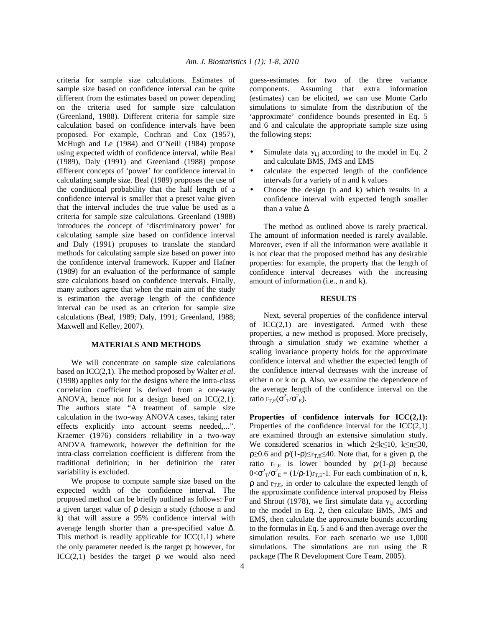criteria for sample size calculations. Estimates of sample size based on confidence interval can be quite different from the estimates based on power depending on the criteria used for sample size calculation (Greenland, 1988). Different criteria for sample size calculation based on confidence intervals have been proposed. For example, Cochran and Cox (1957), McHugh and Le (1984) and O'Neill (1984) propose using expected width of confidence interval, while Beal (1989), Daly (1991) and Greenland (1988) propose different concepts of 'power' for confidence interval in calculating sample size. Beal (1989) proposes the use of the conditional probability that the half length of a confidence interval is smaller that a preset value given that the interval includes the true value be used as a criteria for sample size calculations. Greenland (1988) introduces the concept of 'discriminatory power' for calculating sample size based on confidence interval and Daly (1991) proposes to translate the standard methods for calculating sample size based on power into the confidence interval framework. Kupper and Hafner (1989) for an evaluation of the performance of sample size calculations based on confidence intervals. Finally, many authors agree that when the main aim of the study is estimation the average length of the confidence interval can be used as an criterion for sample size calculations (Beal, 1989; Daly, 1991; Greenland, 1988; Maxwell and Kelley, 2007).

# **MATERIALS AND METHODS**

 We will concentrate on sample size calculations based on ICC(2,1). The method proposed by Walter *et al*. (1998) applies only for the designs where the intra-class correlation coefficient is derived from a one-way ANOVA, hence not for a design based on  $\text{ICC}(2,1)$ . The authors state "A treatment of sample size calculation in the two-way ANOVA cases, taking rater effects explicitly into account seems needed,...". Kraemer (1976) considers reliability in a two-way ANOVA framework, however the definition for the intra-class correlation coefficient is different from the traditional definition; in her definition the rater variability is excluded.

 We propose to compute sample size based on the expected width of the confidence interval. The proposed method can be briefly outlined as follows: For a given target value of ρ design a study (choose n and k) that will assure a 95% confidence interval with average length shorter than a pre-specified value ∆. This method is readily applicable for  $ICC(1,1)$  where the only parameter needed is the target ρ; however, for  $\text{ICC}(2,1)$  besides the target  $\rho$  we would also need guess-estimates for two of the three variance components. Assuming that extra information (estimates) can be elicited, we can use Monte Carlo simulations to simulate from the distribution of the 'approximate' confidence bounds presented in Eq. 5 and 6 and calculate the appropriate sample size using the following steps:

- Simulate data  $y_{i,j}$  according to the model in Eq. 2 and calculate BMS, JMS and EMS
- calculate the expected length of the confidence intervals for a variety of n and k values
- Choose the design  $(n \text{ and } k)$  which results in a confidence interval with expected length smaller than a value ∆

 The method as outlined above is rarely practical. The amount of information needed is rarely available. Moreover, even if all the information were available it is not clear that the proposed method has any desirable properties: for example, the property that the length of confidence interval decreases with the increasing amount of information (i.e., n and k).

### **RESULTS**

 Next, several properties of the confidence interval of  $ICC(2,1)$  are investigated. Armed with these properties, a new method is proposed. More precisely, through a simulation study we examine whether a scaling invariance property holds for the approximate confidence interval and whether the expected length of the confidence interval decreases with the increase of either n or k or ρ. Also, we examine the dependence of the average length of the confidence interval on the ratio  $r_{T,E}(\sigma^2{}_T/\sigma^2{}_E)$ .

**Properties of confidence intervals for ICC(2,1):**  Properties of the confidence interval for the  $ICC(2,1)$ are examined through an extensive simulation study. We considered scenarios in which 2≤k≤10, k≤n≤30,  $\rho \geq 0.6$  and  $\rho/(1-\rho) \leq r_{\text{TE}} \leq 40$ . Note that, for a given  $\rho$ , the ratio  $r_{T,E}$  is lower bounded by  $\rho/(1-\rho)$  because  $0 < \sigma^2_T/\sigma_E^2 = (1/\rho - 1)r_{T,E} - 1$ . For each combination of n, k,  $\rho$  and  $r_{\text{TE}}$ , in order to calculate the expected length of the approximate confidence interval proposed by Fleiss and Shrout (1978), we first simulate data  $y_{i,j}$  according to the model in Eq. 2, then calculate BMS, JMS and EMS, then calculate the approximate bounds according to the formulas in Eq. 5 and 6 and then average over the simulation results. For each scenario we use 1,000 simulations. The simulations are run using the R package (The R Development Core Team, 2005).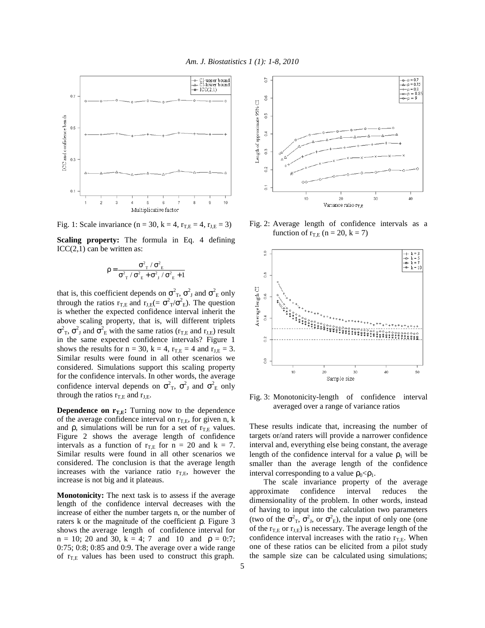

Fig. 1: Scale invariance (n = 30, k = 4,  $r_{T,E}$  = 4,  $r_{J,E}$  = 3)

**Scaling property:** The formula in Eq. 4 defining  $ICC(2,1)$  can be written as:

$$
\rho=\frac{\sigma^2_{_T}\,/\,\sigma^2_{_E}}{\sigma^2_{_T}\,/\,\sigma^2_{_E}+\sigma^2_{_J}\,/\,\sigma^2_{_E}+1}
$$

that is, this coefficient depends on  $\sigma_{\rm T}^2$ ,  $\sigma_{\rm J}^2$  and  $\sigma_{\rm E}^2$  only through the ratios  $r_{T,E}$  and  $r_{J,E} (= \sigma^2{}_T / \sigma^2{}_E)$ . The question is whether the expected confidence interval inherit the above scaling property, that is, will different triplets  $\sigma_{\text{T}}^2$ ,  $\sigma_{\text{J}}^2$  and  $\sigma_{\text{E}}^2$  with the same ratios ( $r_{\text{T,E}}$  and  $r_{\text{J,E}}$ ) result in the same expected confidence intervals? Figure 1 shows the results for  $n = 30$ ,  $k = 4$ ,  $r_{T,E} = 4$  and  $r_{J,E} = 3$ . Similar results were found in all other scenarios we considered. Simulations support this scaling property for the confidence intervals. In other words, the average confidence interval depends on  $\sigma^2$ <sub>T</sub>,  $\sigma^2$ <sub>J</sub> and  $\sigma^2$ <sub>E</sub> only through the ratios  $r_{T,E}$  and  $r_{J,E}$ .

**Dependence on**  $r_{TE}$ **: Turning now to the dependence** of the average confidence interval on  $r_{\text{TE}}$ , for given n, k and  $\rho$ , simulations will be run for a set of  $r_{TE}$  values. Figure 2 shows the average length of confidence intervals as a function of  $r_{TE}$  for  $n = 20$  and  $k = 7$ . Similar results were found in all other scenarios we considered. The conclusion is that the average length increases with the variance ratio  $r_{\text{TE}}$ , however the increase is not big and it plateaus.

**Monotonicity:** The next task is to assess if the average length of the confidence interval decreases with the increase of either the number targets n, or the number of raters k or the magnitude of the coefficient ρ. Figure 3 shows the average length of confidence interval for  $n = 10$ ; 20 and 30,  $k = 4$ ; 7 and 10 and  $p = 0.7$ ; 0:75; 0:8; 0:85 and 0:9. The average over a wide range of  $r_{\text{TE}}$  values has been used to construct this graph.



Fig. 2: Average length of confidence intervals as a function of  $r_{\text{TE}}$  (n = 20, k = 7)



Fig. 3: Monotonicity-length of confidence interval averaged over a range of variance ratios

These results indicate that, increasing the number of targets or/and raters will provide a narrower confidence interval and, everything else being constant, the average length of the confidence interval for a value  $\rho_1$  will be smaller than the average length of the confidence interval corresponding to a value  $\rho_0 < \rho_1$ .

 The scale invariance property of the average approximate confidence interval reduces the dimensionality of the problem. In other words, instead of having to input into the calculation two parameters (two of the  $\sigma^2$ <sub>T</sub>,  $\sigma^2$ <sub>J</sub>, or  $\sigma^2$ <sub>E</sub>), the input of only one (one of the  $r_{\text{TE}}$  or  $r_{\text{JE}}$ ) is necessary. The average length of the confidence interval increases with the ratio  $r_{\text{TE}}$ . When one of these ratios can be elicited from a pilot study the sample size can be calculated using simulations;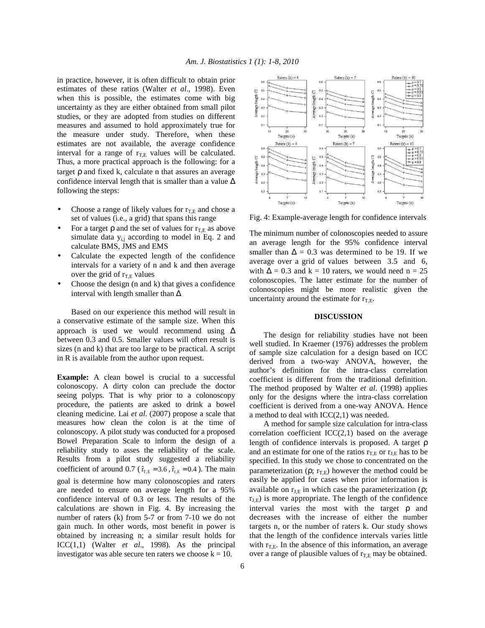in practice, however, it is often difficult to obtain prior estimates of these ratios (Walter *et al*., 1998). Even when this is possible, the estimates come with big uncertainty as they are either obtained from small pilot studies, or they are adopted from studies on different measures and assumed to hold approximately true for the measure under study. Therefore, when these estimates are not available, the average confidence interval for a range of  $r_{\text{TE}}$  values will be calculated. Thus, a more practical approach is the following: for a target ρ and fixed k, calculate n that assures an average confidence interval length that is smaller than a value ∆ following the steps:

- Choose a range of likely values for  $r_{\text{TE}}$  and chose a set of values (i.e., a grid) that spans this range
- For a target  $\rho$  and the set of values for  $r_{\text{TE}}$  as above simulate data  $y_{i,j}$  according to model in Eq. 2 and calculate BMS, JMS and EMS
- Calculate the expected length of the confidence intervals for a variety of n and k and then average over the grid of  $r_{T,E}$  values
- Choose the design  $(n \text{ and } k)$  that gives a confidence interval with length smaller than ∆

 Based on our experience this method will result in a conservative estimate of the sample size. When this approach is used we would recommend using ∆ between 0.3 and 0.5. Smaller values will often result is sizes (n and k) that are too large to be practical. A script in R is available from the author upon request.

**Example:** A clean bowel is crucial to a successful colonoscopy. A dirty colon can preclude the doctor seeing polyps. That is why prior to a colonoscopy procedure, the patients are asked to drink a bowel cleaning medicine. Lai *et al*. (2007) propose a scale that measures how clean the colon is at the time of colonoscopy. A pilot study was conducted for a proposed Bowel Preparation Scale to inform the design of a reliability study to asses the reliability of the scale. Results from a pilot study suggested a reliability coefficient of around 0.7 ( $\hat{r}_{T,E} = 3.6$ ,  $\hat{r}_{J,E} = 0.4$ ). The main goal is determine how many colonoscopies and raters are needed to ensure on average length for a 95% confidence interval of 0.3 or less. The results of the calculations are shown in Fig. 4. By increasing the number of raters (k) from 5-7 or from 7-10 we do not gain much. In other words, most benefit in power is obtained by increasing n; a similar result holds for ICC(1,1) (Walter *et al*., 1998). As the principal investigator was able secure ten raters we choose  $k = 10$ .



Fig. 4: Example-average length for confidence intervals

The minimum number of colonoscopies needed to assure an average length for the 95% confidence interval smaller than  $\Delta = 0.3$  was determined to be 19. If we average over a grid of values between 3.5 and 6, with  $\Delta = 0.3$  and k = 10 raters, we would need n = 25 colonoscopies. The latter estimate for the number of colonoscopies might be more realistic given the uncertainty around the estimate for  $r_{\text{TE}}$ .

#### **DISCUSSION**

 The design for reliability studies have not been well studied. In Kraemer (1976) addresses the problem of sample size calculation for a design based on ICC derived from a two-way ANOVA, however, the author's definition for the intra-class correlation coefficient is different from the traditional definition. The method proposed by Walter *et al*. (1998) applies only for the designs where the intra-class correlation coefficient is derived from a one-way ANOVA. Hence a method to deal with  $ICC(2,1)$  was needed.

 A method for sample size calculation for intra-class correlation coefficient  $ICC(2,1)$  based on the average length of confidence intervals is proposed. A target ρ and an estimate for one of the ratios  $r_{T,E}$  or  $r_{J,E}$  has to be specified. In this study we chose to concentrated on the parameterization ( $\rho$ ;  $r_{\text{TE}}$ ) however the method could be easily be applied for cases when prior information is available on  $r_{\text{LE}}$  in which case the parameterization ( $\rho$ ;  $r_{J,E}$ ) is more appropriate. The length of the confidence interval varies the most with the target ρ and decreases with the increase of either the number targets n, or the number of raters k. Our study shows that the length of the confidence intervals varies little with  $r_{T,E}$ . In the absence of this information, an average over a range of plausible values of  $r_{\text{TE}}$  may be obtained.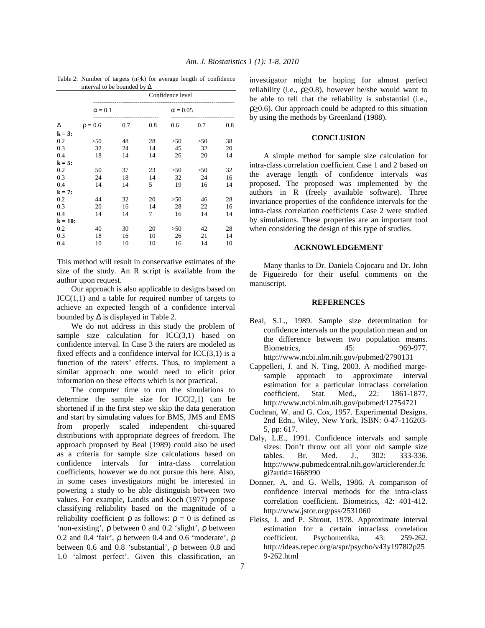|            |              | Confidence level |     |      |                 |     |  |
|------------|--------------|------------------|-----|------|-----------------|-----|--|
|            |              | $\alpha = 0.1$   |     |      | $\alpha = 0.05$ |     |  |
| Δ          | $\rho = 0.6$ | 0.7              | 0.8 | 0.6  | 0.7             | 0.8 |  |
| $k = 3$ :  |              |                  |     |      |                 |     |  |
| 0.2        | >50          | 48               | 28  | > 50 | >50             | 38  |  |
| 0.3        | 32           | 24               | 14  | 45   | 32              | 20  |  |
| 0.4        | 18           | 14               | 14  | 26   | 20              | 14  |  |
| $k = 5$ :  |              |                  |     |      |                 |     |  |
| 0.2        | 50           | 37               | 23  | > 50 | >50             | 32  |  |
| 0.3        | 24           | 18               | 14  | 32   | 24              | 16  |  |
| 0.4        | 14           | 14               | 5   | 19   | 16              | 14  |  |
| $k = 7$ :  |              |                  |     |      |                 |     |  |
| 0.2        | 44           | 32               | 20  | > 50 | 46              | 28  |  |
| 0.3        | 20           | 16               | 14  | 28   | 22              | 16  |  |
| 0.4        | 14           | 14               | 7   | 16   | 14              | 14  |  |
| $k = 10$ : |              |                  |     |      |                 |     |  |
| 0.2        | 40           | 30               | 20  | > 50 | 42              | 28  |  |
| 0.3        | 18           | 16               | 10  | 26   | 21              | 14  |  |
| 0.4        | 10           | 10               | 10  | 16   | 14              | 10  |  |

Table 2: Number of targets (n≥k) for average length of confidence interval to be bounded by ∆

This method will result in conservative estimates of the size of the study. An R script is available from the author upon request.

 Our approach is also applicable to designs based on  $ICC(1,1)$  and a table for required number of targets to achieve an expected length of a confidence interval bounded by  $\Delta$  is displayed in Table 2.

 We do not address in this study the problem of sample size calculation for  $ICC(3,1)$  based on confidence interval. In Case 3 the raters are modeled as fixed effects and a confidence interval for  $ICC(3,1)$  is a function of the raters' effects. Thus, to implement a similar approach one would need to elicit prior information on these effects which is not practical.

 The computer time to run the simulations to determine the sample size for  $ICC(2,1)$  can be shortened if in the first step we skip the data generation and start by simulating values for BMS, JMS and EMS from properly scaled independent chi-squared distributions with appropriate degrees of freedom. The approach proposed by Beal (1989) could also be used as a criteria for sample size calculations based on confidence intervals for intra-class correlation coefficients, however we do not pursue this here. Also, in some cases investigators might be interested in powering a study to be able distinguish between two values. For example, Landis and Koch (1977) propose classifying reliability based on the magnitude of a reliability coefficient  $ρ$  as follows:  $ρ = 0$  is defined as 'non-existing', ρ between 0 and 0.2 'slight', ρ between 0.2 and 0.4 'fair', ρ between 0.4 and 0.6 'moderate', ρ between 0.6 and 0.8 'substantial', ρ between 0.8 and 1.0 'almost perfect'. Given this classification, an

investigator might be hoping for almost perfect reliability (i.e.,  $\rho \geq 0.8$ ), however he/she would want to be able to tell that the reliability is substantial (i.e.,  $\rho \geq 0.6$ ). Our approach could be adapted to this situation by using the methods by Greenland (1988).

### **CONCLUSION**

A simple method for sample size calculation for intra-class correlation coefficient Case 1 and 2 based on the average length of confidence intervals was proposed. The proposed was implemented by the authors in R (freely available software). Three invariance properties of the confidence intervals for the intra-class correlation coefficients Case 2 were studied by simulations. These properties are an important tool when considering the design of this type of studies.

#### **ACKNOWLEDGEMENT**

 Many thanks to Dr. Daniela Cojocaru and Dr. John de Figueiredo for their useful comments on the manuscript.

## **REFERENCES**

- Beal, S.L., 1989. Sample size determination for confidence intervals on the population mean and on the difference between two population means. Biometrics, 45: 969-977. http://www.ncbi.nlm.nih.gov/pubmed/2790131
- Cappelleri, J. and N. Ting, 2003. A modified margesample approach to approximate interval estimation for a particular intraclass correlation coefficient. Stat. Med., 22: 1861-1877. http://www.ncbi.nlm.nih.gov/pubmed/12754721
- Cochran, W. and G. Cox, 1957. Experimental Designs. 2nd Edn., Wiley, New York, ISBN: 0-47-116203- 5, pp: 617.
- Daly, L.E., 1991. Confidence intervals and sample sizes: Don't throw out all your old sample size<br>tables. Br. Med. J., 302: 333-336. tables. Br. Med. J., 302: 333-336. http://www.pubmedcentral.nih.gov/articlerender.fc gi?artid=1668990
- Donner, A. and G. Wells, 1986. A comparison of confidence interval methods for the intra-class correlation coefficient. Biometrics, 42: 401-412. http://www.jstor.org/pss/2531060
- Fleiss, J. and P. Shrout, 1978. Approximate interval estimation for a certain intraclass correlation coefficient. Psychometrika, 43: 259-262. http://ideas.repec.org/a/spr/psycho/v43y1978i2p25 9-262.html